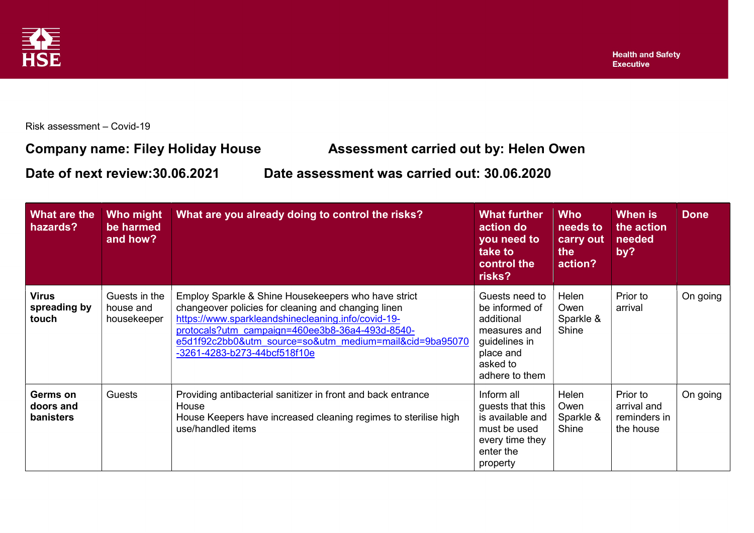

Risk assessment – Covid-19

## Company name: Filey Holiday House Assessment carried out by: Helen Owen

Date of next review:30.06.2021 Date assessment was carried out: 30.06.2020

| What are the<br>hazards?              | Who might<br>be harmed<br>and how?        | What are you already doing to control the risks?                                                                                                                                                                                                                                                               | <b>What further</b><br>action do<br>you need to<br>take to<br>control the<br>risks?                                        | <b>Who</b><br>needs to<br>carry out<br>the<br>action? | When is<br>the action<br>needed<br>by?               | <b>Done</b> |
|---------------------------------------|-------------------------------------------|----------------------------------------------------------------------------------------------------------------------------------------------------------------------------------------------------------------------------------------------------------------------------------------------------------------|----------------------------------------------------------------------------------------------------------------------------|-------------------------------------------------------|------------------------------------------------------|-------------|
| <b>Virus</b><br>spreading by<br>touch | Guests in the<br>house and<br>housekeeper | Employ Sparkle & Shine Housekeepers who have strict<br>changeover policies for cleaning and changing linen<br>https://www.sparkleandshinecleaning.info/covid-19-<br>protocals?utm_campaign=460ee3b8-36a4-493d-8540-<br>e5d1f92c2bb0&utm_source=so&utm_medium=mail&cid=9ba95070<br>-3261-4283-b273-44bcf518f10e | Guests need to<br>be informed of<br>additional<br>measures and<br>guidelines in<br>place and<br>asked to<br>adhere to them | Helen<br>Owen<br>Sparkle &<br>Shine                   | Prior to<br>arrival                                  | On going    |
| Germs on<br>doors and<br>banisters    | Guests                                    | Providing antibacterial sanitizer in front and back entrance<br>House<br>House Keepers have increased cleaning regimes to sterilise high<br>use/handled items                                                                                                                                                  | Inform all<br>guests that this<br>is available and<br>must be used<br>every time they<br>enter the<br>property             | Helen<br>Owen<br>Sparkle &<br>Shine                   | Prior to<br>arrival and<br>reminders in<br>the house | On going    |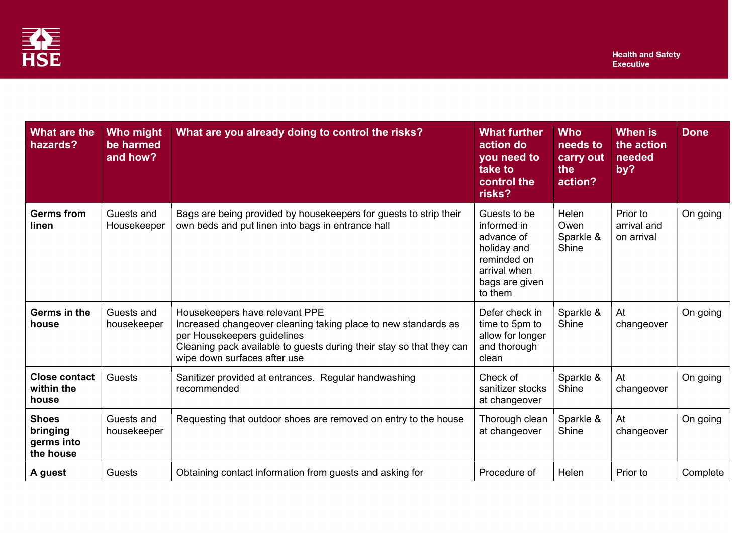

| What are the<br>hazards?                            | <b>Who might</b><br>be harmed<br>and how? | What are you already doing to control the risks?                                                                                                                                                                                        | <b>What further</b><br>action do<br>you need to<br>take to<br>control the<br>risks?                                  | <b>Who</b><br>needs to<br>carry out<br>the<br>action? | <b>When is</b><br>the action<br>needed<br>by? | <b>Done</b> |
|-----------------------------------------------------|-------------------------------------------|-----------------------------------------------------------------------------------------------------------------------------------------------------------------------------------------------------------------------------------------|----------------------------------------------------------------------------------------------------------------------|-------------------------------------------------------|-----------------------------------------------|-------------|
| <b>Germs from</b><br>linen                          | Guests and<br>Housekeeper                 | Bags are being provided by housekeepers for guests to strip their<br>own beds and put linen into bags in entrance hall                                                                                                                  | Guests to be<br>informed in<br>advance of<br>holiday and<br>reminded on<br>arrival when<br>bags are given<br>to them | <b>Helen</b><br>Owen<br>Sparkle &<br>Shine            | Prior to<br>arrival and<br>on arrival         | On going    |
| Germs in the<br>house                               | Guests and<br>housekeeper                 | Housekeepers have relevant PPE<br>Increased changeover cleaning taking place to new standards as<br>per Housekeepers guidelines<br>Cleaning pack available to guests during their stay so that they can<br>wipe down surfaces after use | Defer check in<br>time to 5pm to<br>allow for longer<br>and thorough<br>clean                                        | Sparkle &<br>Shine                                    | At<br>changeover                              | On going    |
| <b>Close contact</b><br>within the<br>house         | <b>Guests</b>                             | Sanitizer provided at entrances. Regular handwashing<br>recommended                                                                                                                                                                     | Check of<br>sanitizer stocks<br>at changeover                                                                        | Sparkle &<br>Shine                                    | At<br>changeover                              | On going    |
| <b>Shoes</b><br>bringing<br>germs into<br>the house | Guests and<br>housekeeper                 | Requesting that outdoor shoes are removed on entry to the house                                                                                                                                                                         | Thorough clean<br>at changeover                                                                                      | Sparkle &<br>Shine                                    | At<br>changeover                              | On going    |
| A guest                                             | Guests                                    | Obtaining contact information from guests and asking for                                                                                                                                                                                | Procedure of                                                                                                         | Helen                                                 | Prior to                                      | Complete    |